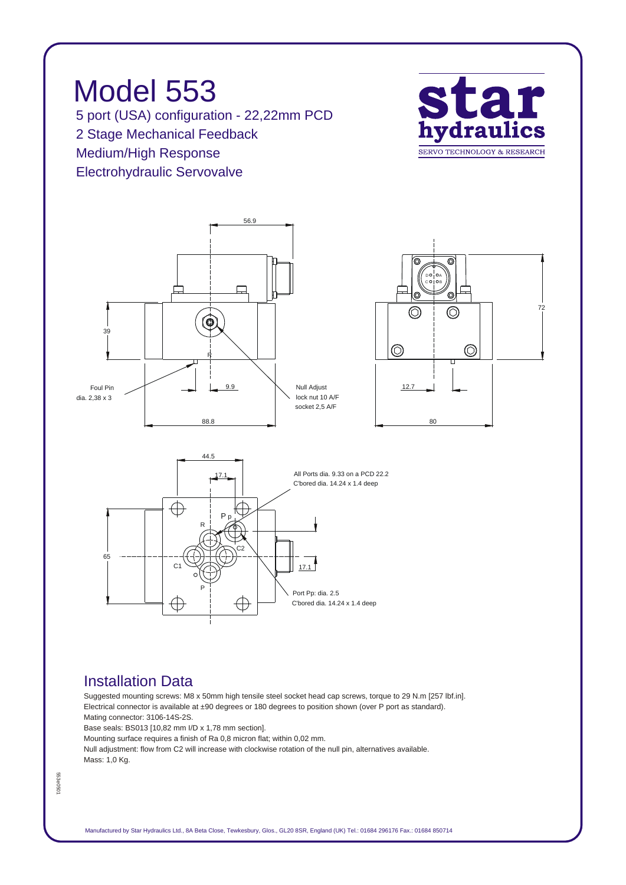*Model 553 5 port (USA) configuration - 22,22mm PCD 2 Stage Mechanical Feedback Medium/High Response Electrohydraulic Servovalve*



*72*

*B A*

 $\circledcirc$ 

 $\circledcirc$ 

*80*





## *Installation Data*

*Suggested mounting screws: M8 x 50mm high tensile steel socket head cap screws, torque to 29 N.m [257 lbf.in]. Electrical connector is available at ±90 degrees or 180 degrees to position shown (over P port as standard). Mating connector: 3106-14S-2S.*

*Base seals: BS013 [10,82 mm I/D x 1,78 mm section].*

*Mounting surface requires a finish of Ra 0,8 micron flat; within 0,02 mm.*

*Null adjustment: flow from C2 will increase with clockwise rotation of the null pin, alternatives available. Mass: 1,0 Kg.*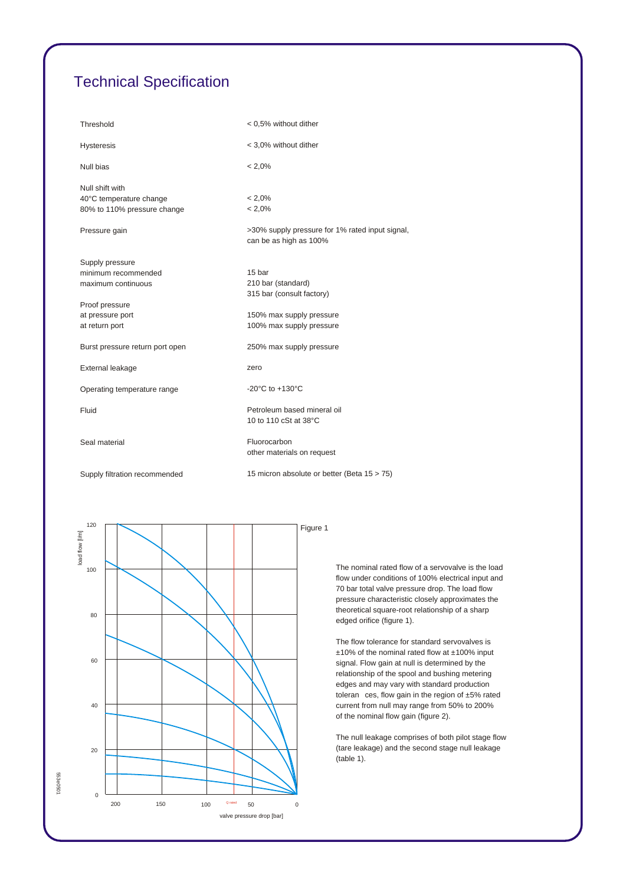## *Technical Specification*

| Threshold                                                                 | < 0.5% without dither                                                     |  |
|---------------------------------------------------------------------------|---------------------------------------------------------------------------|--|
| <b>Hysteresis</b>                                                         | < 3,0% without dither                                                     |  |
| Null bias                                                                 | $< 2.0\%$                                                                 |  |
| Null shift with<br>40°C temperature change<br>80% to 110% pressure change | $< 2.0\%$<br>$< 2.0\%$                                                    |  |
|                                                                           |                                                                           |  |
| Pressure gain                                                             | >30% supply pressure for 1% rated input signal,<br>can be as high as 100% |  |
| Supply pressure                                                           |                                                                           |  |
| minimum recommended                                                       | 15 bar                                                                    |  |
| maximum continuous                                                        | 210 bar (standard)                                                        |  |
|                                                                           | 315 bar (consult factory)                                                 |  |
| Proof pressure                                                            |                                                                           |  |
| at pressure port                                                          | 150% max supply pressure<br>100% max supply pressure                      |  |
| at return port                                                            |                                                                           |  |
| Burst pressure return port open                                           | 250% max supply pressure                                                  |  |
| External leakage                                                          | zero                                                                      |  |
| Operating temperature range                                               | -20 $^{\circ}$ C to +130 $^{\circ}$ C                                     |  |
| Fluid                                                                     | Petroleum based mineral oil<br>10 to 110 cSt at 38°C                      |  |
| Seal material                                                             | Fluorocarbon<br>other materials on request                                |  |
| Supply filtration recommended                                             | 15 micron absolute or better (Beta 15 > 75)                               |  |



*The nominal rated flow of a servovalve is the load flow under conditions of 100% electrical input and 70 bar total valve pressure drop. The load flow pressure characteristic closely approximates the theoretical square-root relationship of a sharp edged orifice (figure 1).*

*The flow tolerance for standard servovalves is ±10% of the nominal rated flow at ±100% input signal. Flow gain at null is determined by the relationship of the spool and bushing metering edges and may vary with standard production toleran ces, flow gain in the region of ±5% rated current from null may range from 50% to 200% of the nominal flow gain (figure 2).*

*The null leakage comprises of both pilot stage flow (tare leakage) and the second stage null leakage (table 1).*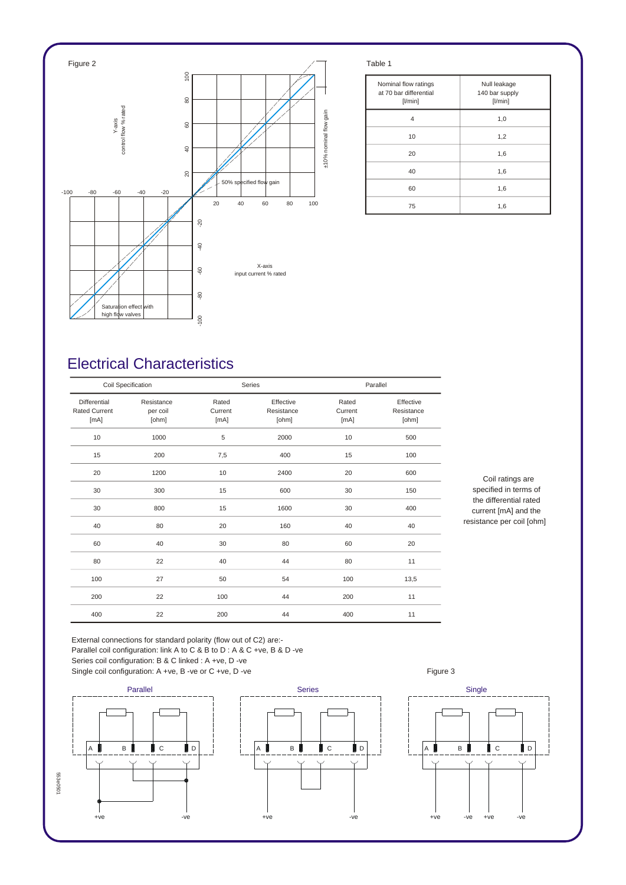

| Nominal flow ratings<br>at 70 bar differential<br>$[$ l/min $]$ | Null leakage<br>140 bar supply<br>[1/min] |
|-----------------------------------------------------------------|-------------------------------------------|
| 4                                                               | 1,0                                       |
| 10                                                              | 1,2                                       |
| 20                                                              | 1,6                                       |
| 40                                                              | 1,6                                       |
| 60                                                              | 1,6                                       |
| 75                                                              | 1,6                                       |

## *Electrical Characteristics*

| Coil Specification                           |                                 |                          | Series                           |                          | Parallel                         |  |
|----------------------------------------------|---------------------------------|--------------------------|----------------------------------|--------------------------|----------------------------------|--|
| Differential<br><b>Rated Current</b><br>[mA] | Resistance<br>per coil<br>[ohm] | Rated<br>Current<br>[mA] | Effective<br>Resistance<br>[ohm] | Rated<br>Current<br>[mA] | Effective<br>Resistance<br>[ohm] |  |
| 10                                           | 1000                            | 5                        | 2000                             | 10                       | 500                              |  |
| 15                                           | 200                             | 7,5                      | 400                              | 15                       | 100                              |  |
| 20                                           | 1200                            | 10                       | 2400                             | 20                       | 600                              |  |
| 30                                           | 300                             | 15                       | 600                              | 30                       | 150                              |  |
| 30                                           | 800                             | 15                       | 1600                             | 30                       | 400                              |  |
| 40                                           | 80                              | 20                       | 160                              | 40                       | 40                               |  |
| 60                                           | 40                              | 30                       | 80                               | 60                       | 20                               |  |
| 80                                           | 22                              | 40                       | 44                               | 80                       | 11                               |  |
| 100                                          | 27                              | 50                       | 54                               | 100                      | 13,5                             |  |
| 200                                          | 22                              | 100                      | 44                               | 200                      | 11                               |  |
| 400                                          | 22                              | 200                      | 44                               | 400                      | 11                               |  |

*Coil ratings are specified in terms of the differential rated current [mA] and the resistance per coil [ohm]*

*External connections for standard polarity (flow out of C2) are:- Parallel coil configuration: link A to C & B to D : A & C +ve, B & D -ve Series coil configuration: B & C linked : A +ve, D -ve*